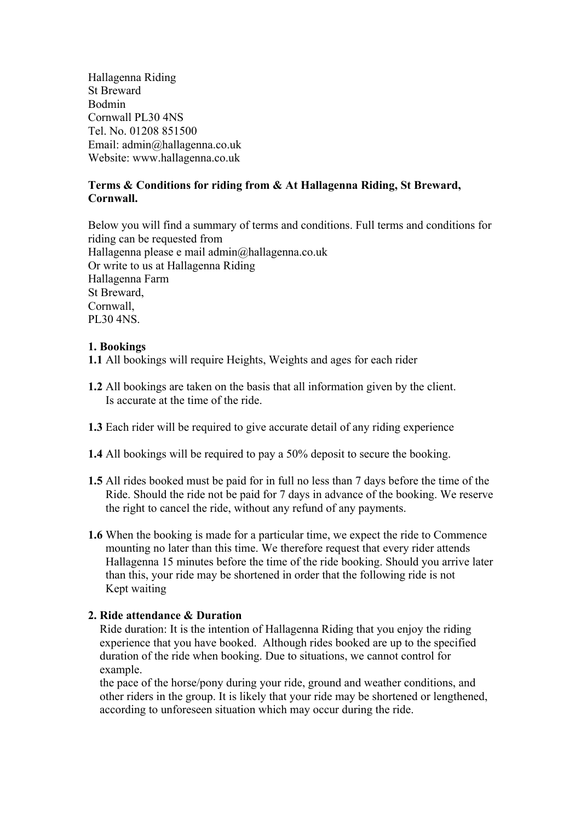Hallagenna Riding St Breward Bodmin Cornwall PL30 4NS Tel. No. 01208 851500 Email: admin@hallagenna.co.uk Website: www.hallagenna.co.uk

# **Terms & Conditions for riding from & At Hallagenna Riding, St Breward, Cornwall.**

Below you will find a summary of terms and conditions. Full terms and conditions for riding can be requested from Hallagenna please e mail admin@hallagenna.co.uk Or write to us at Hallagenna Riding Hallagenna Farm St Breward, Cornwall, PL30 4NS.

## **1. Bookings**

**1.1** All bookings will require Heights, Weights and ages for each rider

- **1.2** All bookings are taken on the basis that all information given by the client. Is accurate at the time of the ride.
- **1.3** Each rider will be required to give accurate detail of any riding experience
- **1.4** All bookings will be required to pay a 50% deposit to secure the booking.
- **1.5** All rides booked must be paid for in full no less than 7 days before the time of the Ride. Should the ride not be paid for 7 days in advance of the booking. We reserve the right to cancel the ride, without any refund of any payments.
- **1.6** When the booking is made for a particular time, we expect the ride to Commence mounting no later than this time. We therefore request that every rider attends Hallagenna 15 minutes before the time of the ride booking. Should you arrive later than this, your ride may be shortened in order that the following ride is not Kept waiting

## **2. Ride attendance & Duration**

 Ride duration: It is the intention of Hallagenna Riding that you enjoy the riding experience that you have booked. Although rides booked are up to the specified duration of the ride when booking. Due to situations, we cannot control for example.

 the pace of the horse/pony during your ride, ground and weather conditions, and other riders in the group. It is likely that your ride may be shortened or lengthened, according to unforeseen situation which may occur during the ride.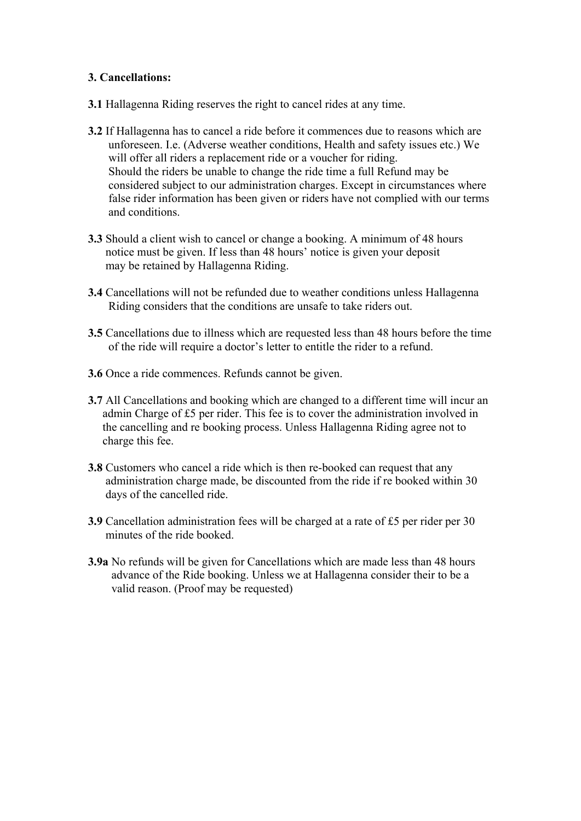## **3. Cancellations:**

- **3.1** Hallagenna Riding reserves the right to cancel rides at any time.
- **3.2** If Hallagenna has to cancel a ride before it commences due to reasons which are unforeseen. I.e. (Adverse weather conditions, Health and safety issues etc.) We will offer all riders a replacement ride or a voucher for riding. Should the riders be unable to change the ride time a full Refund may be considered subject to our administration charges. Except in circumstances where false rider information has been given or riders have not complied with our terms and conditions.
- **3.3** Should a client wish to cancel or change a booking. A minimum of 48 hours notice must be given. If less than 48 hours' notice is given your deposit may be retained by Hallagenna Riding.
- **3.4** Cancellations will not be refunded due to weather conditions unless Hallagenna Riding considers that the conditions are unsafe to take riders out.
- **3.5** Cancellations due to illness which are requested less than 48 hours before the time of the ride will require a doctor's letter to entitle the rider to a refund.
- **3.6** Once a ride commences. Refunds cannot be given.
- **3.7** All Cancellations and booking which are changed to a different time will incur an admin Charge of £5 per rider. This fee is to cover the administration involved in the cancelling and re booking process. Unless Hallagenna Riding agree not to charge this fee.
- **3.8** Customers who cancel a ride which is then re-booked can request that any administration charge made, be discounted from the ride if re booked within 30 days of the cancelled ride.
- **3.9** Cancellation administration fees will be charged at a rate of £5 per rider per 30 minutes of the ride booked.
- **3.9a** No refunds will be given for Cancellations which are made less than 48 hours advance of the Ride booking. Unless we at Hallagenna consider their to be a valid reason. (Proof may be requested)